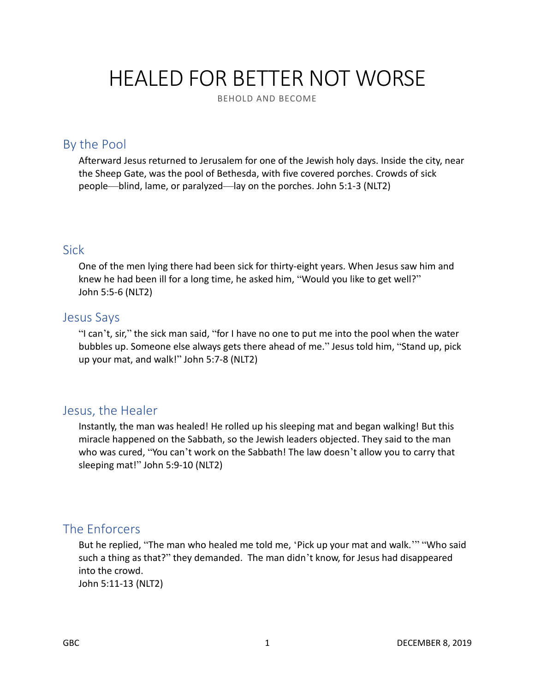# HEALED FOR BETTER NOT WORSE

BEHOLD AND BECOME

## By the Pool

Afterward Jesus returned to Jerusalem for one of the Jewish holy days. Inside the city, near the Sheep Gate, was the pool of Bethesda, with five covered porches. Crowds of sick people—blind, lame, or paralyzed—lay on the porches. John 5:1-3 (NLT2)

#### Sick

One of the men lying there had been sick for thirty-eight years. When Jesus saw him and knew he had been ill for a long time, he asked him, "Would you like to get well?" John 5:5-6 (NLT2)

#### Jesus Says

"I can't, sir," the sick man said, "for I have no one to put me into the pool when the water bubbles up. Someone else always gets there ahead of me." Jesus told him, "Stand up, pick up your mat, and walk!" John 5:7-8 (NLT2)

#### Jesus, the Healer

Instantly, the man was healed! He rolled up his sleeping mat and began walking! But this miracle happened on the Sabbath, so the Jewish leaders objected. They said to the man who was cured, "You can't work on the Sabbath! The law doesn't allow you to carry that sleeping mat!" John 5:9-10 (NLT2)

#### The Enforcers

But he replied, "The man who healed me told me, 'Pick up your mat and walk.'" "Who said such a thing as that?" they demanded. The man didn't know, for Jesus had disappeared into the crowd.

John 5:11-13 (NLT2)